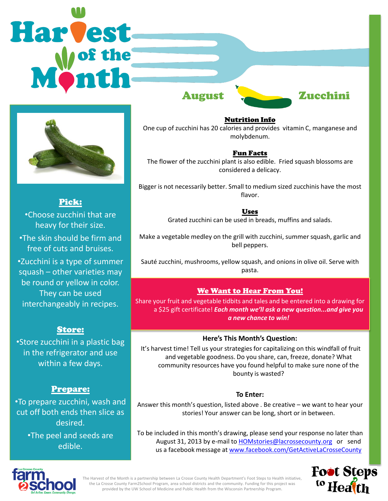# Harvest August Zucchini



Pick: •Choose zucchini that are heavy for their size. •The skin should be firm and free of cuts and bruises. •Zucchini is a type of summer squash – other varieties may be round or yellow in color. They can be used interchangeably in recipes.

# Store:

•Store zucchini in a plastic bag in the refrigerator and use within a few days.

# Prepare:

•To prepare zucchini, wash and cut off both ends then slice as desired.

> •The peel and seeds are edible.

Nutrition Info One cup of zucchini has 20 calories and provides vitamin C, manganese and molybdenum.

## Fun Facts

The flower of the zucchini plant is also edible. Fried squash blossoms are considered a delicacy.

Bigger is not necessarily better. Small to medium sized zucchinis have the most flavor.

Uses

Grated zucchini can be used in breads, muffins and salads.

Make a vegetable medley on the grill with zucchini, summer squash, garlic and bell peppers.

Sauté zucchini, mushrooms, yellow squash, and onions in olive oil. Serve with pasta.

## We Want to Hear From You!

Share your fruit and vegetable tidbits and tales and be entered into a drawing for a \$25 gift certificate! *Each month we'll ask a new question...and give you a new chance to win!* 

#### **Here's This Month's Question:**

It's harvest time! Tell us your strategies for capitalizing on this windfall of fruit and vegetable goodness. Do you share, can, freeze, donate? What community resources have you found helpful to make sure none of the bounty is wasted?

#### **To Enter:**

Answer this month's question, listed above . Be creative – we want to hear your stories! Your answer can be long, short or in between.

To be included in this month's drawing, please send your response no later than August 31, 2013 by e-mail to [HOMstories@lacrossecounty.org](mailto:HOMstories@lacrossecounty.org) or send us a facebook message at [www.facebook.com/GetActiveLaCrosseCounty](http://www.facebook.com/GetActiveLaCrosseCounty)





The Harvest of the Month is a partnership between La Crosse County Health Department's Foot Steps to Health initiative, the La Crosse County Farm2School Program, area school districts and the community. Funding for this project was provided by the UW School of Medicine and Public Health from the Wisconsin Partnership Program.